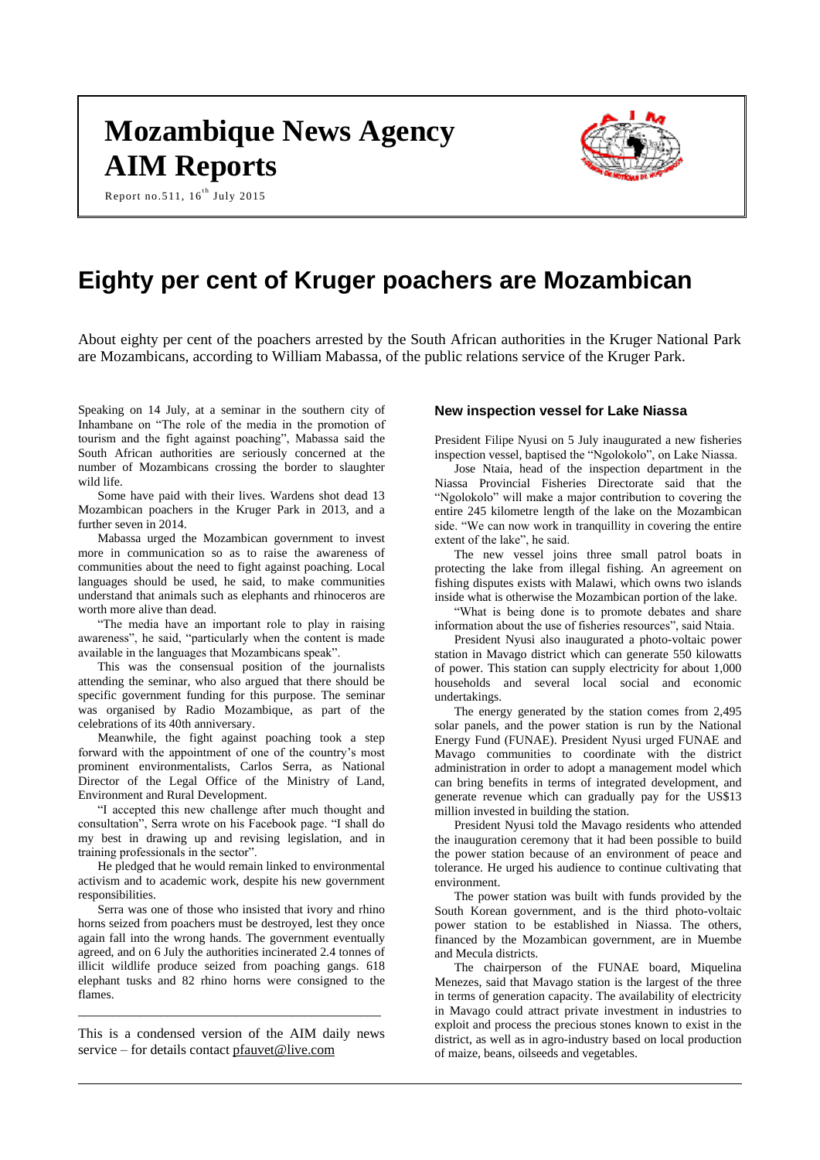# **Mozambique News Agency AIM Reports**



Report no.511,  $16^{th}$  July 2015

# **Eighty per cent of Kruger poachers are Mozambican**

About eighty per cent of the poachers arrested by the South African authorities in the Kruger National Park are Mozambicans, according to William Mabassa, of the public relations service of the Kruger Park.

Speaking on 14 July, at a seminar in the southern city of Inhambane on "The role of the media in the promotion of tourism and the fight against poaching", Mabassa said the South African authorities are seriously concerned at the number of Mozambicans crossing the border to slaughter wild life.

Some have paid with their lives. Wardens shot dead 13 Mozambican poachers in the Kruger Park in 2013, and a further seven in 2014.

Mabassa urged the Mozambican government to invest more in communication so as to raise the awareness of communities about the need to fight against poaching. Local languages should be used, he said, to make communities understand that animals such as elephants and rhinoceros are worth more alive than dead.

"The media have an important role to play in raising awareness", he said, "particularly when the content is made available in the languages that Mozambicans speak".

This was the consensual position of the journalists attending the seminar, who also argued that there should be specific government funding for this purpose. The seminar was organised by Radio Mozambique, as part of the celebrations of its 40th anniversary.

Meanwhile, the fight against poaching took a step forward with the appointment of one of the country's most prominent environmentalists, Carlos Serra, as National Director of the Legal Office of the Ministry of Land, Environment and Rural Development.

"I accepted this new challenge after much thought and consultation", Serra wrote on his Facebook page. "I shall do my best in drawing up and revising legislation, and in training professionals in the sector".

He pledged that he would remain linked to environmental activism and to academic work, despite his new government responsibilities.

Serra was one of those who insisted that ivory and rhino horns seized from poachers must be destroyed, lest they once again fall into the wrong hands. The government eventually agreed, and on 6 July the authorities incinerated 2.4 tonnes of illicit wildlife produce seized from poaching gangs. 618 elephant tusks and 82 rhino horns were consigned to the flames.

This is a condensed version of the AIM daily news service – for details contact [pfauvet@live.com](mailto:pfauvet@live.com)

\_\_\_\_\_\_\_\_\_\_\_\_\_\_\_\_\_\_\_\_\_\_\_\_\_\_\_\_\_\_\_\_\_\_\_\_\_\_\_\_\_\_\_\_

#### **New inspection vessel for Lake Niassa**

President Filipe Nyusi on 5 July inaugurated a new fisheries inspection vessel, baptised the "Ngolokolo", on Lake Niassa.

Jose Ntaia, head of the inspection department in the Niassa Provincial Fisheries Directorate said that the "Ngolokolo" will make a major contribution to covering the entire 245 kilometre length of the lake on the Mozambican side. "We can now work in tranquillity in covering the entire extent of the lake", he said.

The new vessel joins three small patrol boats in protecting the lake from illegal fishing. An agreement on fishing disputes exists with Malawi, which owns two islands inside what is otherwise the Mozambican portion of the lake.

"What is being done is to promote debates and share information about the use of fisheries resources", said Ntaia.

President Nyusi also inaugurated a photo-voltaic power station in Mavago district which can generate 550 kilowatts of power. This station can supply electricity for about 1,000 households and several local social and economic undertakings.

The energy generated by the station comes from 2,495 solar panels, and the power station is run by the National Energy Fund (FUNAE). President Nyusi urged FUNAE and Mavago communities to coordinate with the district administration in order to adopt a management model which can bring benefits in terms of integrated development, and generate revenue which can gradually pay for the US\$13 million invested in building the station.

President Nyusi told the Mavago residents who attended the inauguration ceremony that it had been possible to build the power station because of an environment of peace and tolerance. He urged his audience to continue cultivating that environment.

The power station was built with funds provided by the South Korean government, and is the third photo-voltaic power station to be established in Niassa. The others, financed by the Mozambican government, are in Muembe and Mecula districts.

The chairperson of the FUNAE board, Miquelina Menezes, said that Mavago station is the largest of the three in terms of generation capacity. The availability of electricity in Mavago could attract private investment in industries to exploit and process the precious stones known to exist in the district, as well as in agro-industry based on local production of maize, beans, oilseeds and vegetables.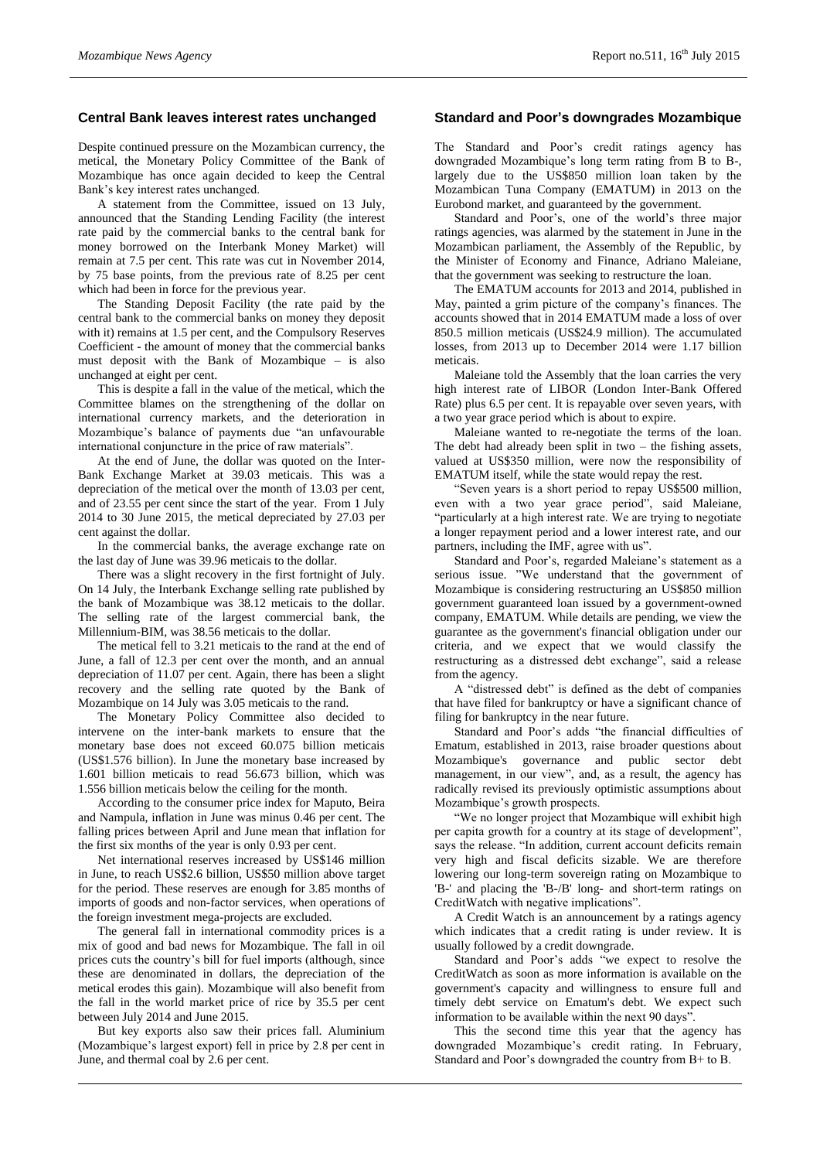# **Central Bank leaves interest rates unchanged**

Despite continued pressure on the Mozambican currency, the metical, the Monetary Policy Committee of the Bank of Mozambique has once again decided to keep the Central Bank's key interest rates unchanged.

A statement from the Committee, issued on 13 July, announced that the Standing Lending Facility (the interest rate paid by the commercial banks to the central bank for money borrowed on the Interbank Money Market) will remain at 7.5 per cent. This rate was cut in November 2014, by 75 base points, from the previous rate of 8.25 per cent which had been in force for the previous year.

The Standing Deposit Facility (the rate paid by the central bank to the commercial banks on money they deposit with it) remains at 1.5 per cent, and the Compulsory Reserves Coefficient - the amount of money that the commercial banks must deposit with the Bank of Mozambique – is also unchanged at eight per cent.

This is despite a fall in the value of the metical, which the Committee blames on the strengthening of the dollar on international currency markets, and the deterioration in Mozambique's balance of payments due "an unfavourable international conjuncture in the price of raw materials".

At the end of June, the dollar was quoted on the Inter-Bank Exchange Market at 39.03 meticais. This was a depreciation of the metical over the month of 13.03 per cent, and of 23.55 per cent since the start of the year. From 1 July 2014 to 30 June 2015, the metical depreciated by 27.03 per cent against the dollar.

In the commercial banks, the average exchange rate on the last day of June was 39.96 meticais to the dollar.

There was a slight recovery in the first fortnight of July. On 14 July, the Interbank Exchange selling rate published by the bank of Mozambique was 38.12 meticais to the dollar. The selling rate of the largest commercial bank, the Millennium-BIM, was 38.56 meticais to the dollar.

The metical fell to 3.21 meticais to the rand at the end of June, a fall of 12.3 per cent over the month, and an annual depreciation of 11.07 per cent. Again, there has been a slight recovery and the selling rate quoted by the Bank of Mozambique on 14 July was 3.05 meticais to the rand.

The Monetary Policy Committee also decided to intervene on the inter-bank markets to ensure that the monetary base does not exceed 60.075 billion meticais (US\$1.576 billion). In June the monetary base increased by 1.601 billion meticais to read 56.673 billion, which was 1.556 billion meticais below the ceiling for the month.

According to the consumer price index for Maputo, Beira and Nampula, inflation in June was minus 0.46 per cent. The falling prices between April and June mean that inflation for the first six months of the year is only 0.93 per cent.

Net international reserves increased by US\$146 million in June, to reach US\$2.6 billion, US\$50 million above target for the period. These reserves are enough for 3.85 months of imports of goods and non-factor services, when operations of the foreign investment mega-projects are excluded.

The general fall in international commodity prices is a mix of good and bad news for Mozambique. The fall in oil prices cuts the country's bill for fuel imports (although, since these are denominated in dollars, the depreciation of the metical erodes this gain). Mozambique will also benefit from the fall in the world market price of rice by 35.5 per cent between July 2014 and June 2015.

But key exports also saw their prices fall. Aluminium (Mozambique's largest export) fell in price by 2.8 per cent in June, and thermal coal by 2.6 per cent.

# **Standard and Poor's downgrades Mozambique**

The Standard and Poor's credit ratings agency has downgraded Mozambique's long term rating from B to B-, largely due to the US\$850 million loan taken by the Mozambican Tuna Company (EMATUM) in 2013 on the Eurobond market, and guaranteed by the government.

Standard and Poor's, one of the world's three major ratings agencies, was alarmed by the statement in June in the Mozambican parliament, the Assembly of the Republic, by the Minister of Economy and Finance, Adriano Maleiane, that the government was seeking to restructure the loan.

The EMATUM accounts for 2013 and 2014, published in May, painted a grim picture of the company's finances. The accounts showed that in 2014 EMATUM made a loss of over 850.5 million meticais (US\$24.9 million). The accumulated losses, from 2013 up to December 2014 were 1.17 billion meticais.

Maleiane told the Assembly that the loan carries the very high interest rate of LIBOR (London Inter-Bank Offered Rate) plus 6.5 per cent. It is repayable over seven years, with a two year grace period which is about to expire.

Maleiane wanted to re-negotiate the terms of the loan. The debt had already been split in two – the fishing assets, valued at US\$350 million, were now the responsibility of EMATUM itself, while the state would repay the rest.

"Seven years is a short period to repay US\$500 million, even with a two year grace period", said Maleiane, "particularly at a high interest rate. We are trying to negotiate a longer repayment period and a lower interest rate, and our partners, including the IMF, agree with us".

Standard and Poor's, regarded Maleiane's statement as a serious issue. "We understand that the government of Mozambique is considering restructuring an US\$850 million government guaranteed loan issued by a government-owned company, EMATUM. While details are pending, we view the guarantee as the government's financial obligation under our criteria, and we expect that we would classify the restructuring as a distressed debt exchange", said a release from the agency.

A "distressed debt" is defined as the debt of companies that have filed for bankruptcy or have a significant chance of filing for bankruptcy in the near future.

Standard and Poor's adds "the financial difficulties of Ematum, established in 2013, raise broader questions about Mozambique's governance and public sector debt management, in our view", and, as a result, the agency has radically revised its previously optimistic assumptions about Mozambique's growth prospects.

"We no longer project that Mozambique will exhibit high per capita growth for a country at its stage of development", says the release. "In addition, current account deficits remain very high and fiscal deficits sizable. We are therefore lowering our long-term sovereign rating on Mozambique to 'B-' and placing the 'B-/B' long- and short-term ratings on CreditWatch with negative implications".

A Credit Watch is an announcement by a ratings agency which indicates that a credit rating is under review. It is usually followed by a credit downgrade.

Standard and Poor's adds "we expect to resolve the CreditWatch as soon as more information is available on the government's capacity and willingness to ensure full and timely debt service on Ematum's debt. We expect such information to be available within the next 90 days".

This the second time this year that the agency has downgraded Mozambique's credit rating. In February, Standard and Poor's downgraded the country from B+ to B.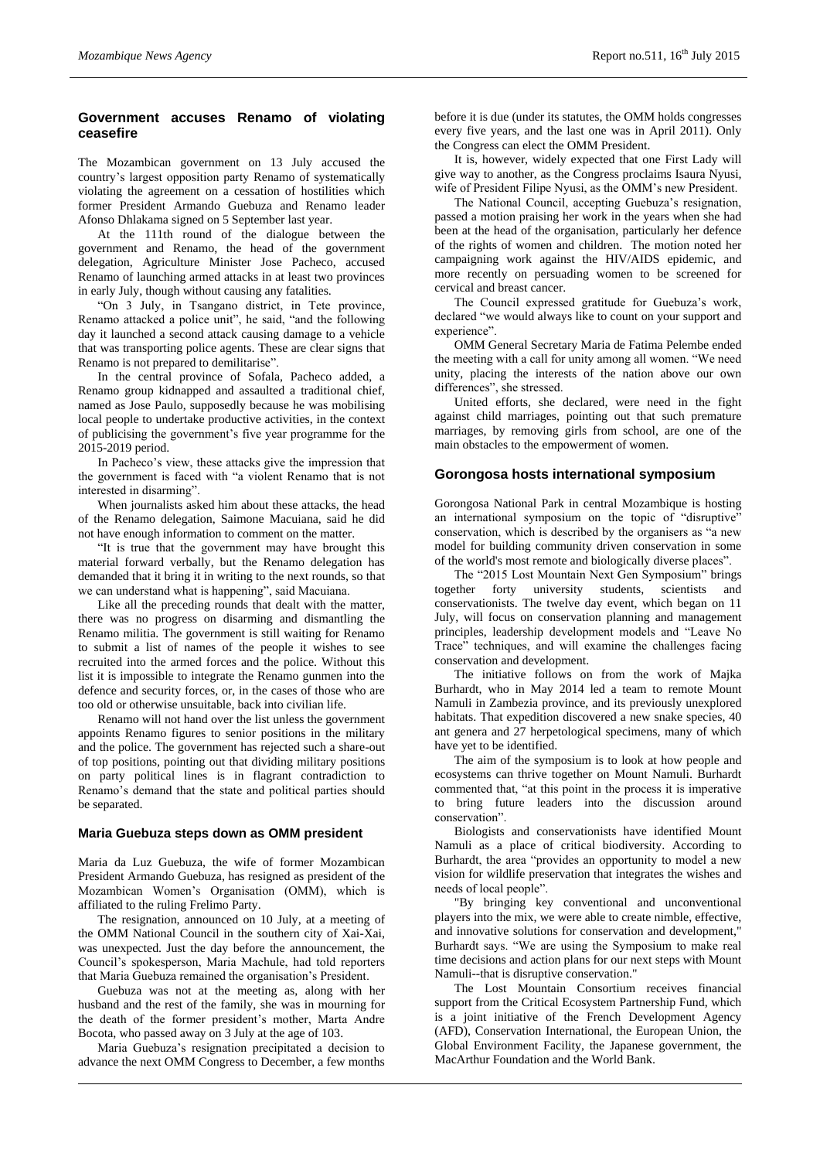# **Government accuses Renamo of violating ceasefire**

The Mozambican government on 13 July accused the country's largest opposition party Renamo of systematically violating the agreement on a cessation of hostilities which former President Armando Guebuza and Renamo leader Afonso Dhlakama signed on 5 September last year.

At the 111th round of the dialogue between the government and Renamo, the head of the government delegation, Agriculture Minister Jose Pacheco, accused Renamo of launching armed attacks in at least two provinces in early July, though without causing any fatalities.

"On 3 July, in Tsangano district, in Tete province, Renamo attacked a police unit", he said, "and the following day it launched a second attack causing damage to a vehicle that was transporting police agents. These are clear signs that Renamo is not prepared to demilitarise".

In the central province of Sofala, Pacheco added, a Renamo group kidnapped and assaulted a traditional chief, named as Jose Paulo, supposedly because he was mobilising local people to undertake productive activities, in the context of publicising the government's five year programme for the 2015-2019 period.

In Pacheco's view, these attacks give the impression that the government is faced with "a violent Renamo that is not interested in disarming".

When journalists asked him about these attacks, the head of the Renamo delegation, Saimone Macuiana, said he did not have enough information to comment on the matter.

"It is true that the government may have brought this material forward verbally, but the Renamo delegation has demanded that it bring it in writing to the next rounds, so that we can understand what is happening", said Macuiana.

Like all the preceding rounds that dealt with the matter, there was no progress on disarming and dismantling the Renamo militia. The government is still waiting for Renamo to submit a list of names of the people it wishes to see recruited into the armed forces and the police. Without this list it is impossible to integrate the Renamo gunmen into the defence and security forces, or, in the cases of those who are too old or otherwise unsuitable, back into civilian life.

Renamo will not hand over the list unless the government appoints Renamo figures to senior positions in the military and the police. The government has rejected such a share-out of top positions, pointing out that dividing military positions on party political lines is in flagrant contradiction to Renamo's demand that the state and political parties should be separated.

#### **Maria Guebuza steps down as OMM president**

Maria da Luz Guebuza, the wife of former Mozambican President Armando Guebuza, has resigned as president of the Mozambican Women's Organisation (OMM), which is affiliated to the ruling Frelimo Party.

The resignation, announced on 10 July, at a meeting of the OMM National Council in the southern city of Xai-Xai, was unexpected. Just the day before the announcement, the Council's spokesperson, Maria Machule, had told reporters that Maria Guebuza remained the organisation's President.

Guebuza was not at the meeting as, along with her husband and the rest of the family, she was in mourning for the death of the former president's mother, Marta Andre Bocota, who passed away on 3 July at the age of 103.

Maria Guebuza's resignation precipitated a decision to advance the next OMM Congress to December, a few months

before it is due (under its statutes, the OMM holds congresses every five years, and the last one was in April 2011). Only the Congress can elect the OMM President.

It is, however, widely expected that one First Lady will give way to another, as the Congress proclaims Isaura Nyusi, wife of President Filipe Nyusi, as the OMM's new President.

The National Council, accepting Guebuza's resignation, passed a motion praising her work in the years when she had been at the head of the organisation, particularly her defence of the rights of women and children. The motion noted her campaigning work against the HIV/AIDS epidemic, and more recently on persuading women to be screened for cervical and breast cancer.

The Council expressed gratitude for Guebuza's work, declared "we would always like to count on your support and experience".

OMM General Secretary Maria de Fatima Pelembe ended the meeting with a call for unity among all women. "We need unity, placing the interests of the nation above our own differences", she stressed.

United efforts, she declared, were need in the fight against child marriages, pointing out that such premature marriages, by removing girls from school, are one of the main obstacles to the empowerment of women.

# **Gorongosa hosts international symposium**

Gorongosa National Park in central Mozambique is hosting an international symposium on the topic of "disruptive" conservation, which is described by the organisers as "a new model for building community driven conservation in some of the world's most remote and biologically diverse places".

The "2015 Lost Mountain Next Gen Symposium" brings together forty university students, scientists and conservationists. The twelve day event, which began on 11 July, will focus on conservation planning and management principles, leadership development models and "Leave No Trace" techniques, and will examine the challenges facing conservation and development.

The initiative follows on from the work of Majka Burhardt, who in May 2014 led a team to remote Mount Namuli in Zambezia province, and its previously unexplored habitats. That expedition discovered a new snake species, 40 ant genera and 27 herpetological specimens, many of which have yet to be identified.

The aim of the symposium is to look at how people and ecosystems can thrive together on Mount Namuli. Burhardt commented that, "at this point in the process it is imperative to bring future leaders into the discussion around conservation".

Biologists and conservationists have identified Mount Namuli as a place of critical biodiversity. According to Burhardt, the area "provides an opportunity to model a new vision for wildlife preservation that integrates the wishes and needs of local people".

"By bringing key conventional and unconventional players into the mix, we were able to create nimble, effective, and innovative solutions for conservation and development," Burhardt says. "We are using the Symposium to make real time decisions and action plans for our next steps with Mount Namuli--that is disruptive conservation."

The Lost Mountain Consortium receives financial support from the Critical Ecosystem Partnership Fund, which is a joint initiative of the French Development Agency (AFD), Conservation International, the European Union, the Global Environment Facility, the Japanese government, the MacArthur Foundation and the World Bank.